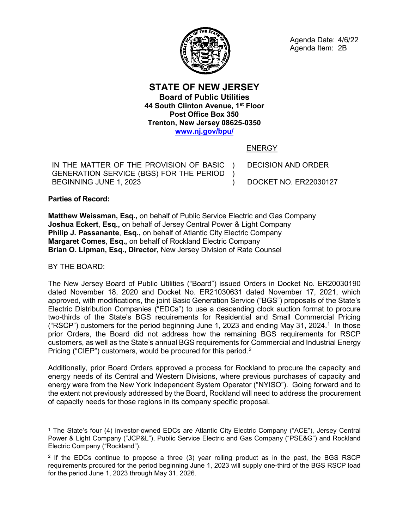

Agenda Date: 4/6/22 Agenda Item: 2B

**STATE OF NEW JERSEY Board of Public Utilities 44 South Clinton Avenue, 1st Floor Post Office Box 350 Trenton, New Jersey 08625-0350 [www.nj.gov/bpu/](http://www.nj.gov/bpu/)**

ENERGY

)  $\lambda$  $\lambda$ 

IN THE MATTER OF THE PROVISION OF BASIC GENERATION SERVICE (BGS) FOR THE PERIOD BEGINNING JUNE 1, 2023

DECISION AND ORDER

DOCKET NO. ER22030127

**Parties of Record:**

**Matthew Weissman, Esq.,** on behalf of Public Service Electric and Gas Company **Joshua Eckert**, **Esq.,** on behalf of Jersey Central Power & Light Company **Philip J. Passanante**, **Esq.,** on behalf of Atlantic City Electric Company **Margaret Comes**, **Esq.,** on behalf of Rockland Electric Company **Brian O. Lipman, Esq., Director,** New Jersey Division of Rate Counsel

BY THE BOARD:

 $\overline{a}$ 

The New Jersey Board of Public Utilities ("Board") issued Orders in Docket No. ER20030190 dated November 18, 2020 and Docket No. ER21030631 dated November 17, 2021, which approved, with modifications, the joint Basic Generation Service ("BGS") proposals of the State's Electric Distribution Companies ("EDCs") to use a descending clock auction format to procure two-thirds of the State's BGS requirements for Residential and Small Commercial Pricing ("RSCP") customers for the period beginning June [1](#page-0-0), 2023 and ending May 31, 2024.<sup>1</sup> In those prior Orders, the Board did not address how the remaining BGS requirements for RSCP customers, as well as the State's annual BGS requirements for Commercial and Industrial Energy Pricing ("CIEP") customers, would be procured for this period.<sup>[2](#page-0-1)</sup>

Additionally, prior Board Orders approved a process for Rockland to procure the capacity and energy needs of its Central and Western Divisions, where previous purchases of capacity and energy were from the New York Independent System Operator ("NYISO"). Going forward and to the extent not previously addressed by the Board, Rockland will need to address the procurement of capacity needs for those regions in its company specific proposal.

<span id="page-0-0"></span><sup>1</sup> The State's four (4) investor-owned EDCs are Atlantic City Electric Company ("ACE"), Jersey Central Power & Light Company ("JCP&L"), Public Service Electric and Gas Company ("PSE&G") and Rockland Electric Company ("Rockland").

<span id="page-0-1"></span><sup>&</sup>lt;sup>2</sup> If the EDCs continue to propose a three (3) year rolling product as in the past, the BGS RSCP requirements procured for the period beginning June 1, 2023 will supply one-third of the BGS RSCP load for the period June 1, 2023 through May 31, 2026.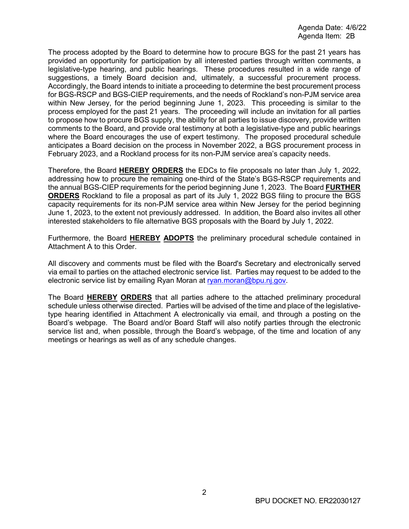The process adopted by the Board to determine how to procure BGS for the past 21 years has provided an opportunity for participation by all interested parties through written comments, a legislative-type hearing, and public hearings. These procedures resulted in a wide range of suggestions, a timely Board decision and, ultimately, a successful procurement process. Accordingly, the Board intends to initiate a proceeding to determine the best procurement process for BGS-RSCP and BGS-CIEP requirements, and the needs of Rockland's non-PJM service area within New Jersey, for the period beginning June 1, 2023. This proceeding is similar to the process employed for the past 21 years. The proceeding will include an invitation for all parties to propose how to procure BGS supply, the ability for all parties to issue discovery, provide written comments to the Board, and provide oral testimony at both a legislative-type and public hearings where the Board encourages the use of expert testimony. The proposed procedural schedule anticipates a Board decision on the process in November 2022, a BGS procurement process in February 2023, and a Rockland process for its non-PJM service area's capacity needs.

Therefore, the Board **HEREBY ORDERS** the EDCs to file proposals no later than July 1, 2022, addressing how to procure the remaining one-third of the State's BGS-RSCP requirements and the annual BGS-CIEP requirements for the period beginning June 1, 2023. The Board **FURTHER ORDERS** Rockland to file a proposal as part of its July 1, 2022 BGS filing to procure the BGS capacity requirements for its non-PJM service area within New Jersey for the period beginning June 1, 2023, to the extent not previously addressed. In addition, the Board also invites all other interested stakeholders to file alternative BGS proposals with the Board by July 1, 2022.

Furthermore, the Board **HEREBY ADOPTS** the preliminary procedural schedule contained in Attachment A to this Order.

All discovery and comments must be filed with the Board's Secretary and electronically served via email to parties on the attached electronic service list. Parties may request to be added to the electronic service list by emailing Ryan Moran at [ryan.moran@bpu.nj.gov.](mailto:ryan.moran@bpu.nj.gov)

The Board **HEREBY ORDERS** that all parties adhere to the attached preliminary procedural schedule unless otherwise directed. Parties will be advised of the time and place of the legislativetype hearing identified in Attachment A electronically via email, and through a posting on the Board's webpage. The Board and/or Board Staff will also notify parties through the electronic service list and, when possible, through the Board's webpage, of the time and location of any meetings or hearings as well as of any schedule changes.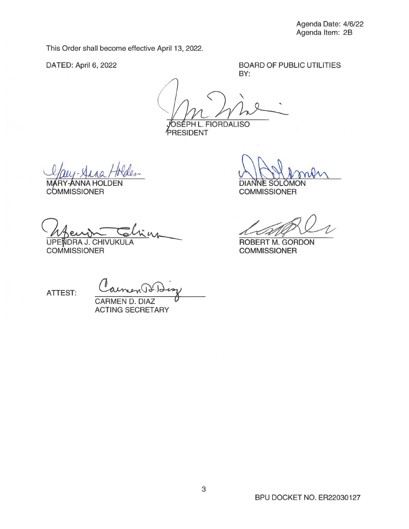This Order shall become effective April 13, 2022.

DATED: April 6, 2022

BOARD OF PUBLIC UTILITIES BY:

OSÉPH L. FIORDALISO BOARD OF PUBLIC UTILITIES<br>BY:<br>FIORDALISO

PRESIDENT

**MARY-ANNA HOLDEN COMMISSIONER** 

IVUKULA ...

**COMMISSIONER** 

DIANNE SOLOMON

**COMMISSIONER** 

COMMISSIONER<br>COMMISSIONER<br>ROBERT M. GORDON

ROBERT M. GORDON **COMMISSIONER** 

ATTEST:

CARMEN D. DIAZ ACTING SECRETARY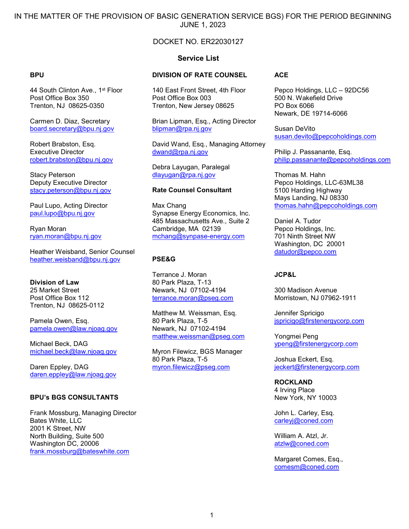IN THE MATTER OF THE PROVISION OF BASIC GENERATION SERVICE BGS) FOR THE PERIOD BEGINNING JUNE 1, 2023

## DOCKET NO. ER22030127

#### **Service List**

#### **BPU**

44 South Clinton Ave., 1<sup>st</sup> Floor Post Office Box 350 Trenton, NJ 08625-0350

Carmen D. Diaz, Secretary [board.secretary@bpu.nj.gov](mailto:board.secretary@bpu.nj.gov)

Robert Brabston, Esq. Executive Director [robert.brabston@bpu.nj.gov](mailto:robert.brabston@bpu.nj.gov)

Stacy Peterson Deputy Executive Director [stacy.peterson@bpu.nj.gov](mailto:stacy.peterson@bpu.nj.gov)

Paul Lupo, Acting Director [paul.lupo@bpu.nj.gov](mailto:paul.lupo@bpu.nj.gov)

Ryan Moran ryan.moran@bpu.nj.gov

Heather Weisband, Senior Counsel [heather.weisband@bpu.nj.gov](mailto:heather.weisband@bpu.nj.gov)

**Division of Law** 25 Market Street Post Office Box 112 Trenton, NJ 08625-0112

Pamela Owen, Esq. [pamela.owen@law.njoag.gov](mailto:pamela.owen@law.njoag.gov)

Michael Beck, DAG [michael.beck@law.njoag.gov](mailto:michael.beck@law.njoag.gov)

Daren Eppley, DAG [daren.eppley@law.njoag.gov](mailto:daren.eppley@law.njoag.gov)

#### **BPU's BGS CONSULTANTS**

Frank Mossburg, Managing Director Bates White, LLC 2001 K Street, NW North Building, Suite 500 Washington DC, 20006 [frank.mossburg@bateswhite.com](mailto:frank.mossburg@bateswhite.com)

# **DIVISION OF RATE COUNSEL**

140 East Front Street, 4th Floor Post Office Box 003 Trenton, New Jersey 08625

Brian Lipman, Esq., Acting Director [blipman@rpa.nj.gov](mailto:blipman@rpa.nj.gov)

David Wand, Esq., Managing Attorney [dwand@rpa.nj.gov](mailto:dwand@rpa.nj.gov)

Debra Layugan, Paralegal [dlayugan@rpa.nj.gov](mailto:dlayugan@rpa.nj.gov)

#### **Rate Counsel Consultant**

Max Chang Synapse Energy Economics, Inc. 485 Massachusetts Ave., Suite 2 Cambridge, MA 02139 [mchang@synpase-energy.com](mailto:mchang@synpase-energy.com)

#### **PSE&G**

Terrance J. Moran 80 Park Plaza, T-13 Newark, NJ 07102-4194 [terrance.moran@pseg.com](mailto:terrance.moran@pseg.com)

Matthew M. Weissman, Esq. 80 Park Plaza, T-5 Newark, NJ 07102-4194 [matthew.weissman@pseg.com](mailto:matthew.weissman@pseg.com)

Myron Filewicz, BGS Manager 80 Park Plaza, T-5 [myron.filewicz@pseg.com](mailto:myron.filewicz@pseg.com)

#### **ACE**

Pepco Holdings, LLC – 92DC56 500 N. Wakefield Drive PO Box 6066 Newark, DE 19714-6066

Susan DeVito [susan.devito@pepcoholdings.com](mailto:susan.devito@pepcoholdings.com)

Philip J. Passanante, Esq. [philip.passanante@pepcoholdings.com](mailto:philip.passanante@pepcoholdings.com)

Thomas M. Hahn Pepco Holdings, LLC-63ML38 5100 Harding Highway Mays Landing, NJ 08330 [thomas.hahn@pepcoholdings.com](mailto:thomas.hahn@pepcoholdings.com)

Daniel A. Tudor Pepco Holdings, Inc. 701 Ninth Street NW Washington, DC 20001 [datudor@pepco.com](mailto:datudor@pepco.com)

#### **JCP&L**

300 Madison Avenue Morristown, NJ 07962-1911

Jennifer Spricigo [jspricigo@firstenergycorp.com](mailto:jspricigo@firstenergycorp.com)

Yongmei Peng [ypeng@firstenergycorp.com](mailto:ypeng@firstenergycorp.com)

Joshua Eckert, Esq. [jeckert@firstenergycorp.com](mailto:jeckert@firstenergycorp.com)

#### **ROCKLAND**

4 Irving Place New York, NY 10003

John L. Carley, Esq. [carleyj@coned.com](mailto:carleyj@coned.com) 

William A. Atzl, Jr. [atzlw@coned.com](mailto:atzlw@coned.com)

Margaret Comes, Esq., [comesm@coned.com](mailto:comesm@coned.com)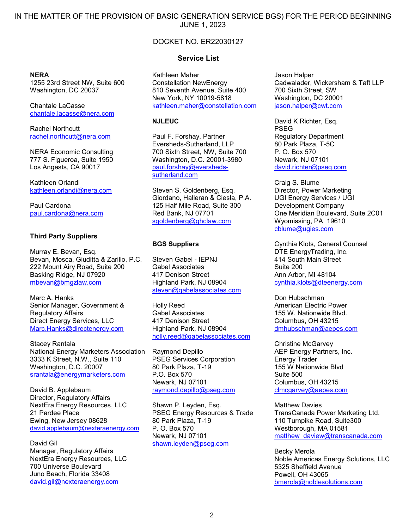IN THE MATTER OF THE PROVISION OF BASIC GENERATION SERVICE BGS) FOR THE PERIOD BEGINNING JUNE 1, 2023

## DOCKET NO. ER22030127

#### **NERA**

1255 23rd Street NW, Suite 600 Washington, DC 20037

Chantale LaCasse [chantale.lacasse@nera.com](mailto:chantale.lacasse@nera.com)

Rachel Northcutt [rachel.northcutt@nera.com](mailto:rachel.northcutt@nera.com)

NERA Economic Consulting 777 S. Figueroa, Suite 1950 Los Angests, CA 90017

Kathleen Orlandi [kathleen.orlandi@nera.com](mailto:kathleen.orlandi@nera.com)

Paul Cardona [paul.cardona@nera.com](mailto:paul.cardona@nera.com)

#### **Third Party Suppliers**

Murray E. Bevan, Esq. Bevan, Mosca, Giuditta & Zarillo, P.C. 222 Mount Airy Road, Suite 200 Basking Ridge, NJ 07920 [mbevan@bmgzlaw.com](mailto:mbevan@bmgzlaw.com)

Marc A. Hanks Senior Manager, Government & Regulatory Affairs Direct Energy Services, LLC [Marc.Hanks@directenergy.com](blocked::mailto:Marc.Hanks@directenergy.com)

Stacey Rantala National Energy Marketers Association 3333 K Street, N.W., Suite 110 Washington, D.C. 20007 [srantala@energymarketers.com](mailto:srantala@energymarketers.com)

David B. Applebaum Director, Regulatory Affairs NextEra Energy Resources, LLC 21 Pardee Place Ewing, New Jersey 08628 [david.applebaum@nexteraenergy.com](mailto:david.applebaum@nexteraenergy.com)

David Gil Manager, Regulatory Affairs NextEra Energy Resources, LLC 700 Universe Boulevard Juno Beach, Florida 33408 [david.gil@nexteraenergy.com](mailto:david.gil@nexteraenergy.com)

#### **Service List**

Kathleen Maher Constellation NewEnergy 810 Seventh Avenue, Suite 400 New York, NY 10019-5818 [kathleen.maher@constellation.com](mailto:timothy.daniels@constellation.co)

#### **NJLEUC**

Paul F. Forshay, Partner Eversheds-Sutherland, LLP 700 Sixth Street, NW, Suite 700 Washington, D.C. 20001-3980 [paul.forshay@eversheds](mailto:paul.forshay@eversheds-sutherland.com)[sutherland.com](mailto:paul.forshay@eversheds-sutherland.com)

Steven S. Goldenberg, Esq. Giordano, Halleran & Ciesla, P.A. 125 Half Mile Road, Suite 300 Red Bank, NJ 07701 [sgoldenberg@ghclaw.com](mailto:sgoldenberg@ghclaw.com)

#### **BGS Suppliers**

Steven Gabel - IFPNJ Gabel Associates 417 Denison Street Highland Park, NJ 08904 [steven@gabelassociates.com](mailto:steven@gabelassociates.com)

Holly Reed Gabel Associates 417 Denison Street Highland Park, NJ 08904 [holly.reed@gabelassociates.com](mailto:holly.reed@gabelassociates.com)

Raymond Depillo PSEG Services Corporation 80 Park Plaza, T-19 P.O. Box 570 Newark, NJ 07101 [raymond.depillo@pseg.com](mailto:raymond.depillo@pseg.com)

Shawn P. Leyden, Esq. PSEG Energy Resources & Trade 80 Park Plaza, T-19 P. O. Box 570 Newark, NJ 07101 [shawn.leyden@pseg.com](mailto:shawn.leyden@pseg.com)

Jason Halper Cadwalader, Wickersham & Taft LLP 700 Sixth Street, SW Washington, DC 20001 [jason.halper@cwt.com](mailto:jason.halper@cwt.com)

David K Richter, Esq. PSEG Regulatory Department 80 Park Plaza, T-5C P. O. Box 570 Newark, NJ 07101 [david.richter@pseg.com](mailto:david.richter@pseg.com)

Craig S. Blume Director, Power Marketing UGI Energy Services / UGI Development Company One Meridian Boulevard, Suite 2C01 Wyomissing, PA 19610 [cblume@ugies.com](mailto:cblume@ugies.com)

Cynthia Klots, General Counsel DTE EnergyTrading, Inc. 414 South Main Street Suite 200 Ann Arbor, MI 48104 [cynthia.klots@dteenergy.com](mailto:cynthia.klots@dteenergy.com)

Don Hubschman American Electric Power 155 W. Nationwide Blvd. Columbus, OH 43215 [dmhubschman@aepes.com](mailto:dmhubschman@aepes.com)

Christine McGarvey AEP Energy Partners, Inc. Energy Trader 155 W Nationwide Blvd Suite 500 Columbus, OH 43215 [clmcgarvey@aepes.com](mailto:clmcgarvey@aepes.com)

Matthew Davies TransCanada Power Marketing Ltd. 110 Turnpike Road, Suite300 Westborough, MA 01581 [matthew\\_daview@transcanada.com](mailto:matthew_daview@transcanada.com)

Becky Merola Noble Americas Energy Solutions, LLC 5325 Sheffield Avenue Powell, OH 43065 [bmerola@noblesolutions.com](mailto:bmerola@noblesolutions.com)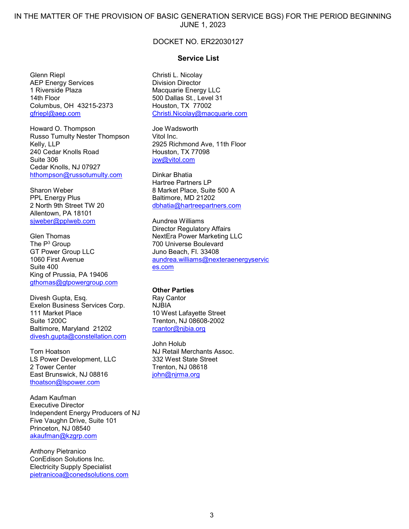IN THE MATTER OF THE PROVISION OF BASIC GENERATION SERVICE BGS) FOR THE PERIOD BEGINNING JUNE 1, 2023

### DOCKET NO. ER22030127

Glenn Riepl AEP Energy Services 1 Riverside Plaza 14th Floor Columbus, OH 43215-2373 [gfriepl@aep.com](mailto:gfriepl@aep.com)

Howard O. Thompson Russo Tumulty Nester Thompson Kelly, LLP 240 Cedar Knolls Road Suite 306 Cedar Knolls, NJ 07927 [hthompson@russotumulty.com](mailto:hthompson@russotumulty.com)

Sharon Weber PPL Energy Plus 2 North 9th Street TW 20 Allentown, PA 18101 [sjweber@pplweb.com](mailto:sjweber@pplweb.com)

Glen Thomas The P3 Group GT Power Group LLC 1060 First Avenue Suite 400 King of Prussia, PA 19406 [gthomas@gtpowergroup.com](mailto:gthomas@gtpowergroup.com)

Divesh Gupta, Esq. Exelon Business Services Corp. 111 Market Place Suite 1200C Baltimore, Maryland 21202 [divesh.gupta@constellation.com](mailto:divesh.gupta@constellation.com)

Tom Hoatson LS Power Development, LLC 2 Tower Center East Brunswick, NJ 08816 [thoatson@lspower.com](mailto:thoatson@lspower.com)

Adam Kaufman Executive Director Independent Energy Producers of NJ Five Vaughn Drive, Suite 101 Princeton, NJ 08540 [akaufman@kzgrp.com](mailto:akaufman@kzgrp.com)

Anthony Pietranico ConEdison Solutions Inc. Electricity Supply Specialist [pietranicoa@conedsolutions.com](mailto:pietranicoa@conedsolutions.com)

#### **Service List**

Christi L. Nicolay Division Director Macquarie Energy LLC 500 Dallas St., Level 31 Houston, TX 77002 [Christi.Nicolay@macquarie.com](mailto:Christi.Nicolay@macquarie.com)

Joe Wadsworth Vitol Inc. 2925 Richmond Ave, 11th Floor Houston, TX 77098 ixw@vitol.com

Dinkar Bhatia Hartree Partners LP 8 Market Place, Suite 500 A Baltimore, MD 21202 [dbhatia@hartreepartners.com](mailto:dbhatia@hartreepartners.com)

Aundrea Williams Director Regulatory Affairs NextEra Power Marketing LLC 700 Universe Boulevard Juno Beach, Fl. 33408 [aundrea.williams@nexteraenergyservic](mailto:aundrea.williams@nexteraenergyservices.com) [es.com](mailto:aundrea.williams@nexteraenergyservices.com)

#### **Other Parties**

Ray Cantor NJBIA 10 West Lafayette Street Trenton, NJ 08608-2002 [rcantor@njbia.org](mailto:rcantor@njbia.org)

John Holub NJ Retail Merchants Assoc. 332 West State Street Trenton, NJ 08618 [john@njrma.org](mailto:john@njrma.org)